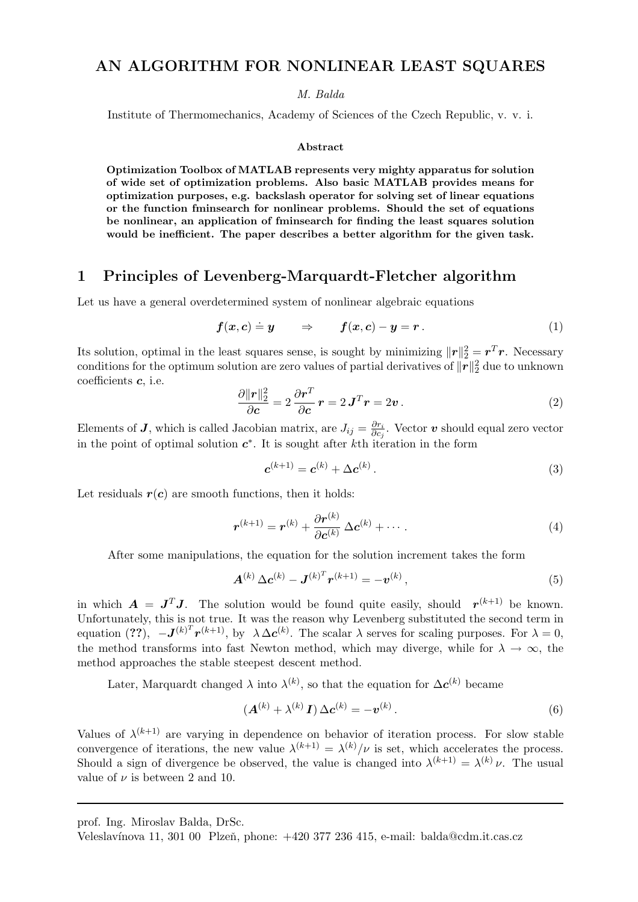## AN ALGORITHM FOR NONLINEAR LEAST SQUARES

M. Balda

Institute of Thermomechanics, Academy of Sciences of the Czech Republic, v. v. i.

#### Abstract

Optimization Toolbox of MATLAB represents very mighty apparatus for solution of wide set of optimization problems. Also basic MATLAB provides means for optimization purposes, e.g. backslash operator for solving set of linear equations or the function fminsearch for nonlinear problems. Should the set of equations be nonlinear, an application of fminsearch for finding the least squares solution would be inefficient. The paper describes a better algorithm for the given task.

## 1 Principles of Levenberg-Marquardt-Fletcher algorithm

Let us have a general overdetermined system of nonlinear algebraic equations

$$
f(x,c) \doteq y \qquad \Rightarrow \qquad f(x,c) - y = r \,.
$$
 (1)

Its solution, optimal in the least squares sense, is sought by minimizing  $\|\mathbf{r}\|_2^2 = \mathbf{r}^T \mathbf{r}$ . Necessary conditions for the optimum solution are zero values of partial derivatives of  $\|\bm{r}\|_2^2$  due to unknown coefficients c, i.e.

$$
\frac{\partial ||\mathbf{r}||_2^2}{\partial \mathbf{c}} = 2 \frac{\partial \mathbf{r}^T}{\partial \mathbf{c}} \mathbf{r} = 2 \mathbf{J}^T \mathbf{r} = 2 \mathbf{v} \,. \tag{2}
$$

Elements of **J**, which is called Jacobian matrix, are  $J_{ij} = \frac{\partial r_i}{\partial \phi_i}$  $\frac{\partial r_i}{\partial c_j}$ . Vector  $\boldsymbol{v}$  should equal zero vector in the point of optimal solution  $c^*$ . It is sought after kth iteration in the form

$$
c^{(k+1)} = c^{(k)} + \Delta c^{(k)}.
$$
\n(3)

Let residuals  $r(c)$  are smooth functions, then it holds:

$$
\boldsymbol{r}^{(k+1)} = \boldsymbol{r}^{(k)} + \frac{\partial \boldsymbol{r}^{(k)}}{\partial \boldsymbol{c}^{(k)}} \Delta \boldsymbol{c}^{(k)} + \cdots
$$
 (4)

After some manipulations, the equation for the solution increment takes the form

$$
\mathbf{A}^{(k)} \Delta \mathbf{c}^{(k)} - \mathbf{J}^{(k)^T} \mathbf{r}^{(k+1)} = -\mathbf{v}^{(k)},
$$
\n(5)

in which  $A = J^T J$ . The solution would be found quite easily, should  $r^{(k+1)}$  be known. Unfortunately, this is not true. It was the reason why Levenberg substituted the second term in equation (??),  $-J^{(k)}^T r^{(k+1)}$ , by  $\lambda \Delta c^{(k)}$ . The scalar  $\lambda$  serves for scaling purposes. For  $\lambda = 0$ , the method transforms into fast Newton method, which may diverge, while for  $\lambda \to \infty$ , the method approaches the stable steepest descent method.

Later, Marquardt changed  $\lambda$  into  $\lambda^{(k)}$ , so that the equation for  $\Delta c^{(k)}$  became

$$
\left(\mathbf{A}^{(k)} + \lambda^{(k)}\mathbf{I}\right)\Delta\mathbf{c}^{(k)} = -\mathbf{v}^{(k)}.
$$
\n<sup>(6)</sup>

Values of  $\lambda^{(k+1)}$  are varying in dependence on behavior of iteration process. For slow stable convergence of iterations, the new value  $\lambda^{(k+1)} = \lambda^{(k)}/\nu$  is set, which accelerates the process. Should a sign of divergence be observed, the value is changed into  $\lambda^{(k+1)} = \lambda^{(k)} \nu$ . The usual value of  $\nu$  is between 2 and 10.

prof. Ing. Miroslav Balda, DrSc.

Veleslavínova 11, 301 00 Plzeň, phone: +420 377 236 415, e-mail: balda@cdm.it.cas.cz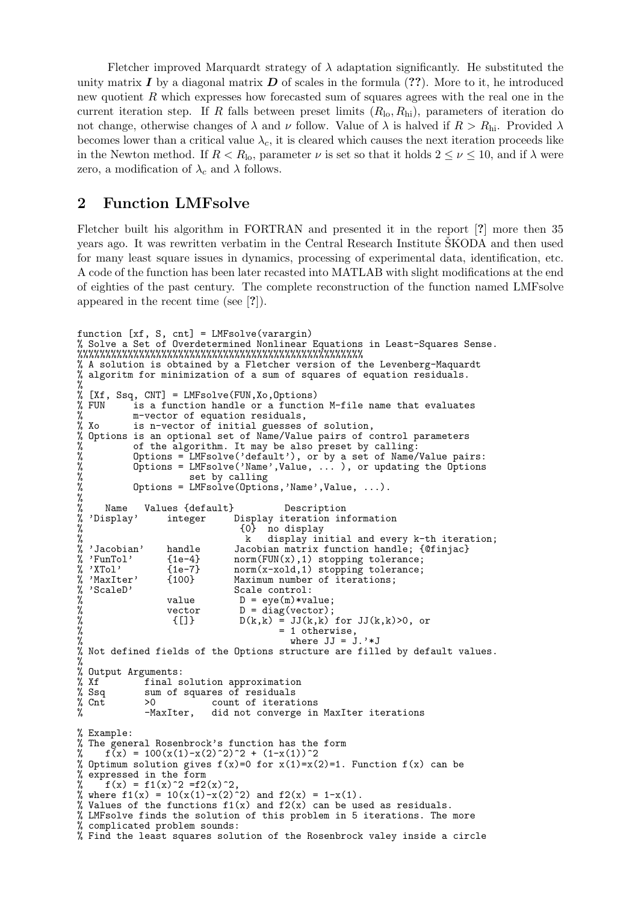Fletcher improved Marquardt strategy of  $\lambda$  adaptation significantly. He substituted the unity matrix  $I$  by a diagonal matrix  $D$  of scales in the formula (??). More to it, he introduced new quotient R which expresses how forecasted sum of squares agrees with the real one in the current iteration step. If R falls between preset limits  $(R_{\text{lo}}, R_{\text{hi}})$ , parameters of iteration do not change, otherwise changes of  $\lambda$  and  $\nu$  follow. Value of  $\lambda$  is halved if  $R > R_{\text{hi}}$ . Provided  $\lambda$ becomes lower than a critical value  $\lambda_c$ , it is cleared which causes the next iteration proceeds like in the Newton method. If  $R < R_{\text{lo}}$ , parameter  $\nu$  is set so that it holds  $2 \leq \nu \leq 10$ , and if  $\lambda$  were zero, a modification of  $\lambda_c$  and  $\lambda$  follows.

## 2 Function LMFsolve

Fletcher built his algorithm in FORTRAN and presented it in the report [?] more then 35 years ago. It was rewritten verbatim in the Central Research Institute SKODA and then used for many least square issues in dynamics, processing of experimental data, identification, etc. A code of the function has been later recasted into MATLAB with slight modifications at the end of eighties of the past century. The complete reconstruction of the function named LMFsolve appeared in the recent time (see [?]).

```
function [xf, S, cnt] = LMFsolve(varargin)
% Solve a Set of Overdetermined Nonlinear Equations in Least-Squares Sense.
%%%%%%%%%%%%%%%%%%%%%%%%%%%%%%%%%%%%%%%%%%%%%%%%%%%
% A solution is obtained by a Fletcher version of the Levenberg-Maquardt
% algoritm for minimization of a sum of squares of equation residuals.
%
% [Xf, Ssq, CNT] = LMFsolve(FUN, Xo, Options)<br>% FUN is a function handle or a functio
% FUN is a function handle or a function M-file name that evaluates<br>% m-vector of equation residuals,<br>% Xo is n-vector of initial guesses of solution,
            m-vector of equation residuals,
            is n-vector of initial guesses of solution,
% Options is an optional set of Name/Value pairs of control parameters
            of the algorithm. It may be also preset by calling:
% Options = LMFsolve('default'), or by a set of Name/Value pairs:
% Options = LMFsolve('Name',Value, ... ), or updating the Options
                         set by calling
            Options = LMFsoive(Options, 'Name', Value, ...).%
% Name Values {default} Description<br>% 'Display' integer Display iteration in<br>% {0} no display
                    integer Display iteration information
% {0} no display
  k display initial and every k-th iteration;<br>display initial and every k-th iteration;<br>Jacobian, Mandle Jacobian matrix function handle; {@finjac}
                                   Jacobian matrix function handle; {@finjac}
% 'FunTol' {1e-4} norm(FUN(x),1) stopping tolerance;
% 'XTol' {1e-7} norm(x-xold,1) stopping tolerance;
% 'XTol' {1e-7} norm(x-xold,1) stopping toler<br>% 'MaxIter' {100} Maximum number of iterations;<br>% 'ScaleD' Scale control:<br>% value D = eye(m)*value;<br>% [[]} D(k,k) = JJ(k,k) for JJ(k,k)<br>% = 1 otherwise,
                                   Scale control:
                    value D = eye(m)*value;vector D = diag(vector);
                     {[]} D(k,k) = JJ(k,k) for JJ(k,k)>0, or = 1 otherwise
% = 1 otherwise,<br> \% = 1 otherwise,<br> \% where JJ = Jwhere JJ = J.' * J% Not defined fields of the Options structure are filled by default values.
%
% Output Arguments:
% Xf final solution approximation<br>% Ssq sum of squares of residuals<br>% Cnt >0 count of iterati
               sum of squares of residuals
% Cnt \begin{array}{ccc} \text{\%} & \text{out} \\ \text{\%} & \text{on} \\ \text{\%} & \text{on} \\ \end{array} -MaxIter, did not converge in
               -MaxIter, did not converge in MaxIter iterations
% Example:
% The general Rosenbrock's function has the form
\frac{x}{x} f(x) = 100(x(1)-x(2)^2)^2 + (1-x(1))^2
% Optimum solution gives f(x)=0 for x(1)=x(2)=1. Function f(x) can be
% expressed in the form
      f(x) = f1(x)^2 = f2(x)^2.
% where f1(x) = 10(x(1)-x(2)^2) and f2(x) = 1-x(1).
% Values of the functions f1(x) and f2(x) can be used as residuals.
% LMFsolve finds the solution of this problem in 5 iterations. The more
% complicated problem sounds:
% Find the least squares solution of the Rosenbrock valey inside a circle
```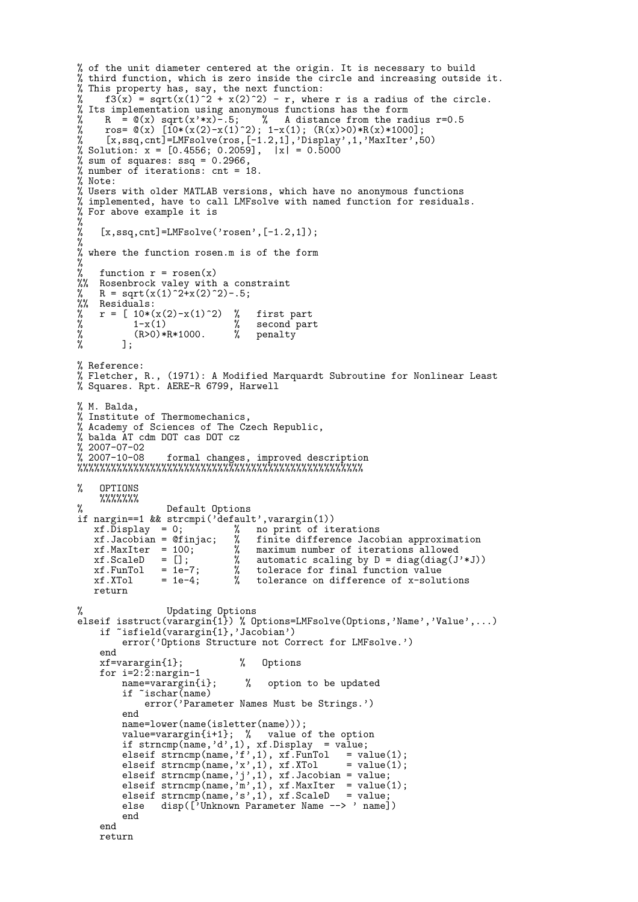```
% of the unit diameter centered at the origin. It is necessary to build
% third function, which is zero inside the circle and increasing outside it.
% This property has, say, the next function:
% f3(x) = sqrt(x(1)^2 + x(2)^2) - r, where r is a radius of the circle.
% Its implementation using anonymous functions has the form
% R = \mathfrak{G}(x) sqrt(x'*x)-.5; % A distance from the radius r=0.5
% ros= \mathfrak{C}(x) [10*(x(2)-x(1)^2); 1-x(1); (R(x)>0)*R(x)*1000];
% [x,ssq,cnt]=LMFsolve(ros,[-1.2,1],'Display',1,'MaxIter',50)
% Solution: x = [0.4556; 0.2059], |x| = 0.5000% sum of squares: ssq = 0.2966,
% number of iterations: cnt = 18.
% Note:
% Users with older MATLAB versions, which have no anonymous functions
% implemented, have to call LMFsolve with named function for residuals.
% For above example it is
%
% [x,ssq,cnt]=LMFsolve('rosen',[-1.2,1]);
%
% where the function rosen.m is of the form
%
% function r = rosen(x)%% Rosenbrock valey with a constraint
     R = sqrt(x(1)^2+x(2)^2).5;
% R = sqrt(x)<br>%% Residuals:<br>% r = [10*(x)]<br>% 1-x(x)r = [10*(x(2)-x(1)^2)] % first part<br>1-x(1) % second part
% 1-x(1) % second part<br>% (R>0)*R*1000. % penalty<br>% ];
              % (R>0)*R*1000. % penalty
           % ];
% Reference:
% Fletcher, R., (1971): A Modified Marquardt Subroutine for Nonlinear Least
% Squares. Rpt. AERE-R 6799, Harwell
% M. Balda.
% Institute of Thermomechanics,
% Academy of Sciences of The Czech Republic,
% balda AT cdm DOT cas DOT cz
% 2007-07-02
% 2007-10-08 formal changes, improved description
%%%%%%%%%%%%%%%%%%%%%%%%%%%%%%%%%%%%%%%%%%%%%%%%%%%
% OPTIONS
     %%%%%%%
% Default Options
if nargin==1 && strcmpi('default',varargin(1))
    xf.Display = 0; \% no print of iterations<br>xf.Jacobian = @finjac; \% finite difference Jacob
    xf.Jacobian = @finjac; % finite difference Jacobian approximation<br>xf.MaxIter = 100; % maximum number of iterations allowed<br>xf.ScaleD = []; % automatic scaling by D = diag(diag(J'*J)<br>xf.FunTol = 1e-7; % tolerace for final 
    xf.MaxIter = 100; \begin{array}{r} x \text{ is a linear combination of } x \text{ and } x \text{ is a linear combination of } x \text{ is a linear combination of } x \text{ is a linear combination of } x \text{ and } x \text{ is a linear combination of } x \text{ is a linear combination of } x \text{ is a linear combination of } x \text{ and } x \text{ is a linear combination of } x \text{ and } x \text{ is a linear combination of } x \text{ is a linear combination of } x \text{ and } x \text{ is a linear combination of } x \text{ and } x \text{ is a linear combination of } x \text{ and } x \text{ is a linear combination of } x \text{ and } x \text{ is a linear combination of } x \text{ and } x= []; % automatic scaling by D = diag(diag(J'*J))<br>= 1e-7; % tolerace for final function value
    xf.FunTol = 1e-7; % tolerace for final function value<br>xf.XTol = 1e-4; % tolerance on difference of x-solu
                                            tolerance on difference of x-solutions
    return
% Updating Options
elseif isstruct(varargin{1}) % Options=LMFsolve(Options,'Name','Value',...)
     if ~isfield(varargin{1},'Jacobian')
           error('Options Structure not Correct for LMFsolve.')
     end
     xf=varargin{1}; % Options
     for i=2:\tilde{2}:\text{nargin-1}<br>name=varargin{i};
                                         % option to be updated
           if ~ischar(name)
                error('Parameter Names Must be Strings.')
           end
           name=lower(name(isletter(name)));
           value=varargin{i+1}; % value of the option
           if strncmp(name, 'd', 1), xf.Display = value;elseif strncmp(name,'f',1), xf.FunTol = value(1);elseif strncmp(name,'x',1), xf.XTol = value(1);
           elseif strncmp(name, 'j', 1), xf.Jacobian = value;
           elseif strncmp(name, \overline{m}, 1), xf.MaxIter = value(1);
           elseif strncmp(name,'s',1), xf.ScaleD = value;else disp(['Unknown Parameter Name --> ' name])
           end
     end
     return
```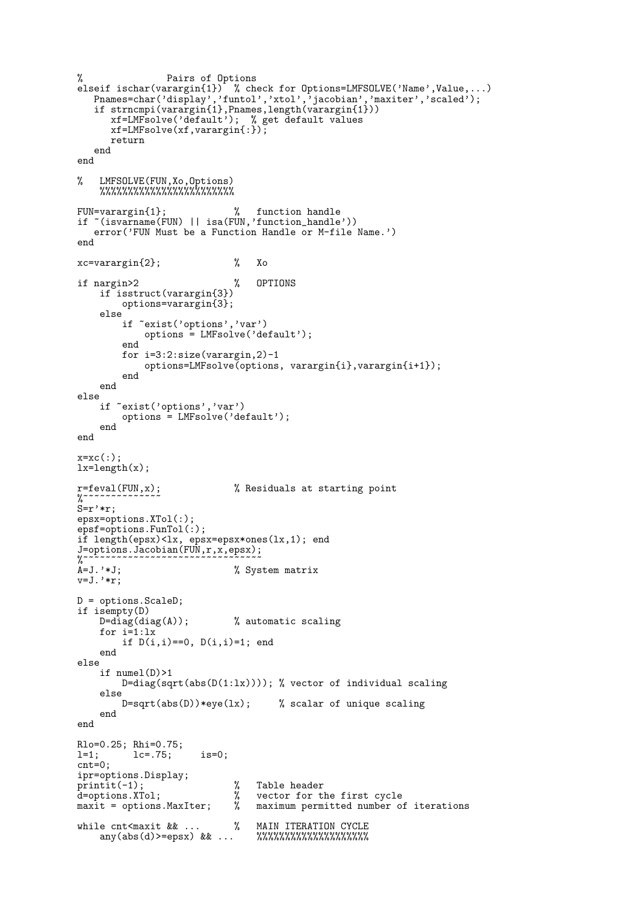```
% Pairs of Options
elseif ischar(varargin{1}) % check for Options=LMFSOLVE('Name',Value,...)
   Pnames=char('display','funtol','xtol','jacobian','maxiter','scaled');
   if strncmpi(varargin{1},Pnames,length(varargin{1}))
      xf=LMFsolve('default'); % get default values
      xf=LMFsolve(xf,varargin{:});
      return
   end
end
% LMFSOLVE(FUN,Xo,Options)
    %%%%%%%%%%%%%%%%%%%%%%%%
FUN=varargin{1}; % function handle
if ~(isvarname(FUN) || isa(FUN,'function_handle'))
   error('FUN Must be a Function Handle or M-file Name.')
end
xc=varargin{2}; % Xo
if nargin>2 % OPTIONS
    if isstruct(varargin{3})
        options=varargin{3};
    else
        if ~exist('options','var')
            options = LMFsolve('default');
        end
        for i=3:2:size(varargin,2)-1
             options=LMFsolve(options, varargin{i},varargin{i+1});
        end
    end
else
    if ~exist('options','var')
        options = LMFsolve('default');
    end
end
x=xc(:);lx=length(x);
r = f = \text{eval}(FUN, x); % Residuals at starting point
\frac{9}{6} ~~
S=r'*r;
epsx=options.XTol(:);
epsf=options.FunTol(:);
if length(epsx)<lx, epsx=epsx*ones(lx,1); end
J=options.Jacobian(FUN,r,x,epsx);
%~~~~~~~~~~~~~~~~~~~~~~~~~~~~~~~~<br>%
A=J.'*J; \% System matrix
v=J.'*r;
D = options.ScaleD;
if isempty(D)
    D = diag(diag(A)); % automatic scaling
    for i=1:lx
        if D(i,i) == 0, D(i,i) = 1; end
    end
else
    if numel(D)>1
       D=diag(sqrt(abs(D(1:lx)))); % vector of individual scaling
    else<br>
D=sqrt(abs(D))*eye(lx);% scalar of unique scaling
    end
end
Rlo=0.25; Rhi=0.75;<br>1=1; 1c=.75;
          lc=.75; is=0;
cnt=0;
ipr=options.Display;
printit(-1); <br>d=options.XTol; % Table header<br>maxit = options.MaxIter; % maximum perm
d=options.XTol; % vector for the first cycle<br>maxit = options.MaxIter; % maximum permitted number of
                                  maximum permitted number of iterations
while cnt<maxit && ... % MAIN ITERATION CYCLE any(abs(d)>=epsx) && ... %%%%%%%%%%%%%%%%%%
    any(abs(d) >=epsx) & \dots
```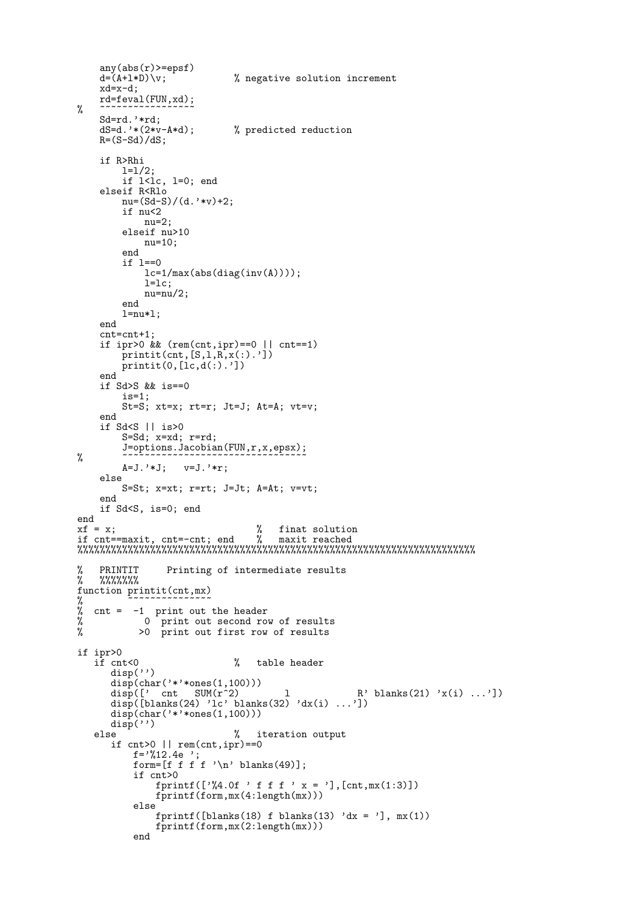```
any(abs(r)>=epsf)<br>d=(A+1*D)\v;
                               % negative solution increment
    xd=x-d;
    rd=feval(FUN,xd);
% ~~~~~~~~~~~~~~~~
    Sd=rd.'*rd;<br>dS=d.'*(2*v-A*d);% predicted reduction
    R=(S-Sd)/dS;
    if R>Rhi
         1=1/2;if 1 < i>c, 1 = 0; end
    elseif R<Rlo
        nu=(Sd-S)/(d.'*v)+2;
         if nu<2
             nu=2;
         elseif nu>10
             nu=10;
         end
         if l==0
             lc=1/max(abs(diag(inv(A))));
             l=lc;
             nu=nu/2;
         end
         l=nu*l;
    end
    cnt=cnt+1;
    if ipr>0 && (rem(cnt,ipr)==0 || cnt==1)
        printit(int, [S,1,R,x(:).')]print(0, [lc, d(:).']end
    if Sd > S & & is == 0
         is=1;
         St=S; xt=x; rt=r; Jt=J; At=A; vt=v;
    end
    if Sd<S || is>0
         S=Sd; x=xd; r=rd;
         J=options.Jacobian(FUN,r,x,epsx);
% ~~~~~~~~~~~~~~~~~~~~~~~~~~~~~~~~~
         A=J.'*J; v=J.'*r;
    else
         S=St; x=xt; r=rt; J=Jt; A=At; v=vt;
    end
    if Sd<S, is=0; end
end
xf = x;<br>
x = maxit cnt =-cnt: end x = maxit reached
if cnt==maxit, cnt=-cnt; end % maxit reached
%%%%%%%%%%%%%%%%%%%%%%%%%%%%%%%%%%%%%%%%%%%%%%%%%%%%%%%%%%%%%%%%%%%%%%%
% PRINTIT Printing of intermediate results<br>% %%%%%%%
    % %%%%%%%
function printit(cnt,mx)
% ~~~~~~~~~~~~~~~
% cnt = -1 print out the header<br>% 0 print out second row<br>% > 0 print out first row
             0 print out second row of results
            >0 print out first row of results
if ipr>0
                               % table header
      disp('')
       disp(char('*'*ones(1,100)))
       disp([' cnt SUM(r^2) l R' blanks(21) 'x(i) ...'])
      disp(\begin{bmatrix} 1 & \text{cut} & \text{SUM}(r^2) & 1 & \text{R'} \text{ blanks}(21) & 'x(i) & \ldots' \end{bmatrix})<br>disp([blanks(24) 'lc' blanks(32) 'dx(i) ...'])
      disp(char('*'*ones(1,100)))
   disp('')<br>else
                               % iteration output
      if cnt>0 || rem(cnt,ipr)==0
           f='%12.4e ';
           form=[f f f f '\n' blanks(49)];
           if cnt>0
               fprintf(['%4.0f ' f f f ' x = '], [cnt,mx(1:3)])
               fprintf(form,mx(4:length(mx)))
           else
               fprintf([blanks(18) f blanks(13) 'dx = '], mx(1))
               fprintf(form,mx(2:length(mx)))
           end
```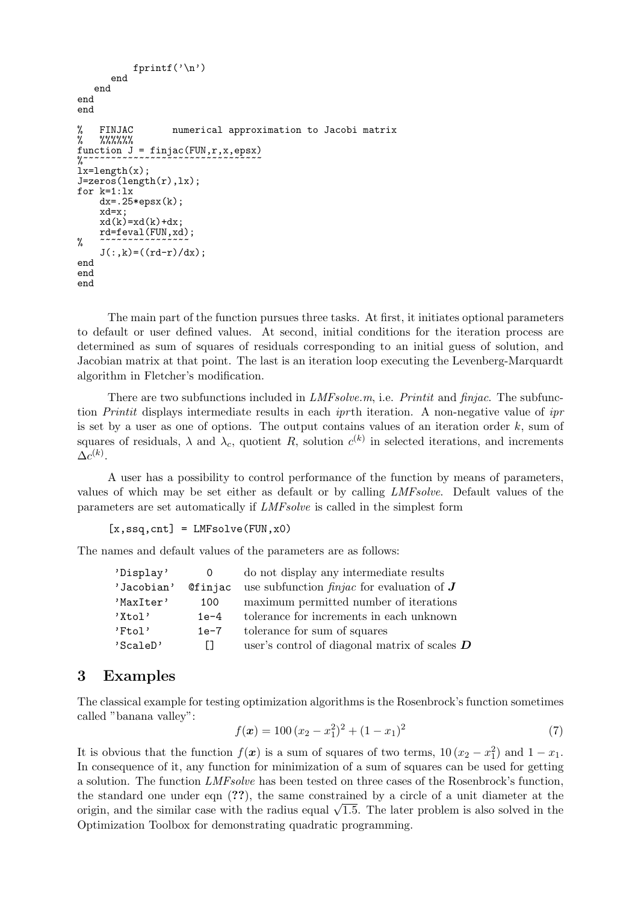```
fprintf('\n')
      end
   end
end
end
% FINJAC numerical approximation to Jacobi matrix<br>% %%%%%%
    % %%%%%%
function J = \text{finjac}(\text{FUN}, r, x, \text{epsx})%~~~~~~~~~~~~~~~~~~~~~~~~~~~~~~~~~~~
lx = length(x);J = zeros(length(r),lx);for k=1:lx
    dx=.25*epsx(k);
    xd=x;
    xd(k)=xd(k)+dx;rd=feval(FUN,xd);
% ~~~~~~~~~~~~~~~~
    J(:,k)=((rd-r)/dx);end
end
end
```
The main part of the function pursues three tasks. At first, it initiates optional parameters to default or user defined values. At second, initial conditions for the iteration process are determined as sum of squares of residuals corresponding to an initial guess of solution, and Jacobian matrix at that point. The last is an iteration loop executing the Levenberg-Marquardt algorithm in Fletcher's modification.

There are two subfunctions included in  $LMF solve.m$ , i.e. *Printit* and *finjac*. The subfunction *Printit* displays intermediate results in each *iprth* iteration. A non-negative value of  $ipr$ is set by a user as one of options. The output contains values of an iteration order  $k$ , sum of squares of residuals,  $\lambda$  and  $\lambda_c$ , quotient R, solution  $c^{(k)}$  in selected iterations, and increments  $\Delta c^{(k)}.$ 

A user has a possibility to control performance of the function by means of parameters, values of which may be set either as default or by calling LMFsolve. Default values of the parameters are set automatically if LMFsolve is called in the simplest form

 $[x,ssq,cnt] = LMFsolve(FUN,x0)$ 

The names and default values of the parameters are as follows:

| 'Display'  |         | do not display any intermediate results              |
|------------|---------|------------------------------------------------------|
| 'Jacobian' | Cfinjac | use subfunction <i>finjac</i> for evaluation of $J$  |
| 'MaxIter'  | 100     | maximum permitted number of iterations               |
| 'Xtol'     | $1e-4$  | tolerance for increments in each unknown             |
| 'Ftol'     | $1e-7$  | tolerance for sum of squares                         |
| 'ScaleD'   | $\perp$ | user's control of diagonal matrix of scales $\bm{D}$ |

## 3 Examples

The classical example for testing optimization algorithms is the Rosenbrock's function sometimes called "banana valley":

$$
f(\mathbf{x}) = 100(x_2 - x_1^2)^2 + (1 - x_1)^2 \tag{7}
$$

It is obvious that the function  $f(x)$  is a sum of squares of two terms,  $10(x_2 - x_1^2)$  and  $1 - x_1$ . In consequence of it, any function for minimization of a sum of squares can be used for getting a solution. The function LMFsolve has been tested on three cases of the Rosenbrock's function, the standard one under eqn (??), the same constrained by a circle of a unit diameter at the the standard one under eqn ( $\Omega$ ), the same constrained by a circle of a unit diameter at the origin, and the similar case with the radius equal  $\sqrt{1.5}$ . The later problem is also solved in the Optimization Toolbox for demonstrating quadratic programming.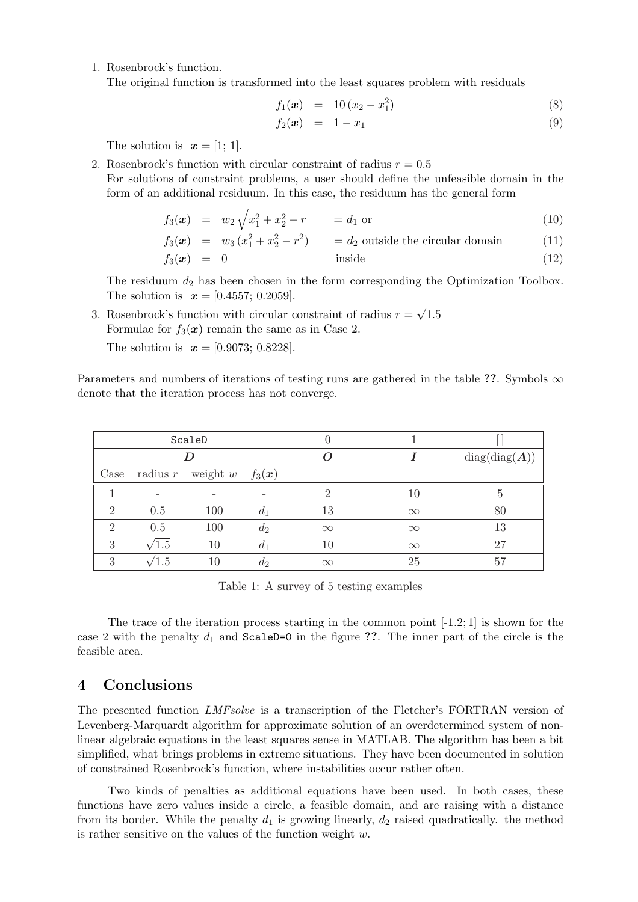1. Rosenbrock's function.

The original function is transformed into the least squares problem with residuals

$$
f_1(x) = 10(x_2 - x_1^2) \tag{8}
$$

$$
f_2(\boldsymbol{x}) = 1 - x_1 \tag{9}
$$

The solution is  $\mathbf{x} = [1; 1]$ .

2. Rosenbrock's function with circular constraint of radius  $r = 0.5$ For solutions of constraint problems, a user should define the unfeasible domain in the form of an additional residuum. In this case, the residuum has the general form

$$
f_3(x) = w_2 \sqrt{x_1^2 + x_2^2} - r = d_1 \text{ or } (10)
$$

$$
f_3(x) = w_3(x_1^2 + x_2^2 - r^2) = d_2
$$
 outside the circular domain (11)

$$
f_3(x) = 0 \t\t \t inside \t\t (12)
$$

The residuum  $d_2$  has been chosen in the form corresponding the Optimization Toolbox. The solution is  $x = [0.4557; 0.2059]$ . √

3. Rosenbrock's function with circular constraint of radius  $r =$ 1.5 Formulae for  $f_3(x)$  remain the same as in Case 2.

The solution is  $x = [0.9073; 0.8228]$ .

Parameters and numbers of iterations of testing runs are gathered in the table ??. Symbols  $\infty$ denote that the iteration process has not converge.

| ScaleD         |                          |            |                       |          |          |               |
|----------------|--------------------------|------------|-----------------------|----------|----------|---------------|
|                |                          |            |                       |          |          | diag(diag(A)) |
| Case           | radius $r$               | weight $w$ | $f_3(\boldsymbol{x})$ |          |          |               |
|                | $\overline{\phantom{0}}$ |            |                       |          | 10       |               |
| $\overline{2}$ | 0.5                      | 100        | $d_1$                 | 13       | $\infty$ | 80            |
| $\overline{2}$ | 0.5                      | 100        | $d_2$                 | $\infty$ | $\infty$ | 13            |
| 3              | $^{\prime}1.5$           | 10         | $a_1$                 | 10       | $\infty$ | 27            |
| 3              |                          | 10         | $d_2$                 | $\infty$ | 25       | 57            |

Table 1: A survey of 5 testing examples

The trace of the iteration process starting in the common point  $[-1.2; 1]$  is shown for the case 2 with the penalty  $d_1$  and ScaleD=0 in the figure ??. The inner part of the circle is the feasible area.

# 4 Conclusions

The presented function LMFsolve is a transcription of the Fletcher's FORTRAN version of Levenberg-Marquardt algorithm for approximate solution of an overdetermined system of nonlinear algebraic equations in the least squares sense in MATLAB. The algorithm has been a bit simplified, what brings problems in extreme situations. They have been documented in solution of constrained Rosenbrock's function, where instabilities occur rather often.

Two kinds of penalties as additional equations have been used. In both cases, these functions have zero values inside a circle, a feasible domain, and are raising with a distance from its border. While the penalty  $d_1$  is growing linearly,  $d_2$  raised quadratically. the method is rather sensitive on the values of the function weight  $w$ .